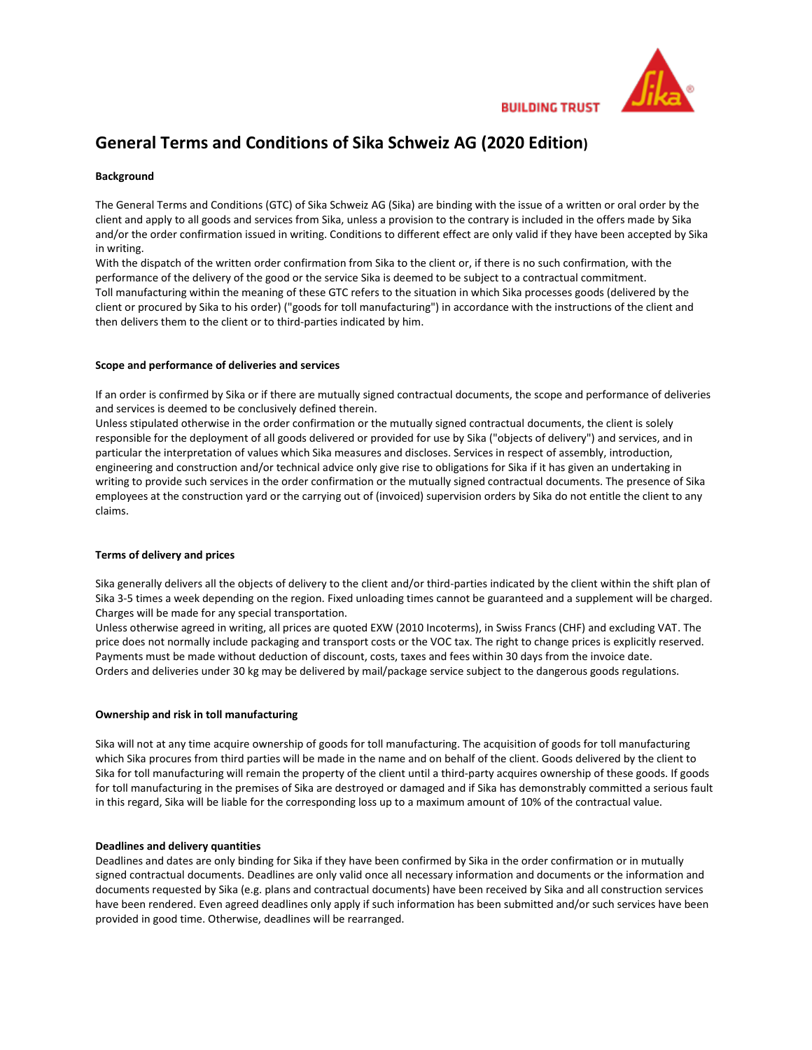

**BUILDING TRUST** 

# **General Terms and Conditions of Sika Schweiz AG (2020 Edition)**

# **Background**

The General Terms and Conditions (GTC) of Sika Schweiz AG (Sika) are binding with the issue of a written or oral order by the client and apply to all goods and services from Sika, unless a provision to the contrary is included in the offers made by Sika and/or the order confirmation issued in writing. Conditions to different effect are only valid if they have been accepted by Sika in writing.

With the dispatch of the written order confirmation from Sika to the client or, if there is no such confirmation, with the performance of the delivery of the good or the service Sika is deemed to be subject to a contractual commitment. Toll manufacturing within the meaning of these GTC refers to the situation in which Sika processes goods (delivered by the client or procured by Sika to his order) ("goods for toll manufacturing") in accordance with the instructions of the client and then delivers them to the client or to third-parties indicated by him.

# **Scope and performance of deliveries and services**

If an order is confirmed by Sika or if there are mutually signed contractual documents, the scope and performance of deliveries and services is deemed to be conclusively defined therein.

Unless stipulated otherwise in the order confirmation or the mutually signed contractual documents, the client is solely responsible for the deployment of all goods delivered or provided for use by Sika ("objects of delivery") and services, and in particular the interpretation of values which Sika measures and discloses. Services in respect of assembly, introduction, engineering and construction and/or technical advice only give rise to obligations for Sika if it has given an undertaking in writing to provide such services in the order confirmation or the mutually signed contractual documents. The presence of Sika employees at the construction yard or the carrying out of (invoiced) supervision orders by Sika do not entitle the client to any claims.

# **Terms of delivery and prices**

Sika generally delivers all the objects of delivery to the client and/or third-parties indicated by the client within the shift plan of Sika 3-5 times a week depending on the region. Fixed unloading times cannot be guaranteed and a supplement will be charged. Charges will be made for any special transportation.

Unless otherwise agreed in writing, all prices are quoted EXW (2010 Incoterms), in Swiss Francs (CHF) and excluding VAT. The price does not normally include packaging and transport costs or the VOC tax. The right to change prices is explicitly reserved. Payments must be made without deduction of discount, costs, taxes and fees within 30 days from the invoice date. Orders and deliveries under 30 kg may be delivered by mail/package service subject to the dangerous goods regulations.

# **Ownership and risk in toll manufacturing**

Sika will not at any time acquire ownership of goods for toll manufacturing. The acquisition of goods for toll manufacturing which Sika procures from third parties will be made in the name and on behalf of the client. Goods delivered by the client to Sika for toll manufacturing will remain the property of the client until a third-party acquires ownership of these goods. If goods for toll manufacturing in the premises of Sika are destroyed or damaged and if Sika has demonstrably committed a serious fault in this regard, Sika will be liable for the corresponding loss up to a maximum amount of 10% of the contractual value.

#### **Deadlines and delivery quantities**

Deadlines and dates are only binding for Sika if they have been confirmed by Sika in the order confirmation or in mutually signed contractual documents. Deadlines are only valid once all necessary information and documents or the information and documents requested by Sika (e.g. plans and contractual documents) have been received by Sika and all construction services have been rendered. Even agreed deadlines only apply if such information has been submitted and/or such services have been provided in good time. Otherwise, deadlines will be rearranged.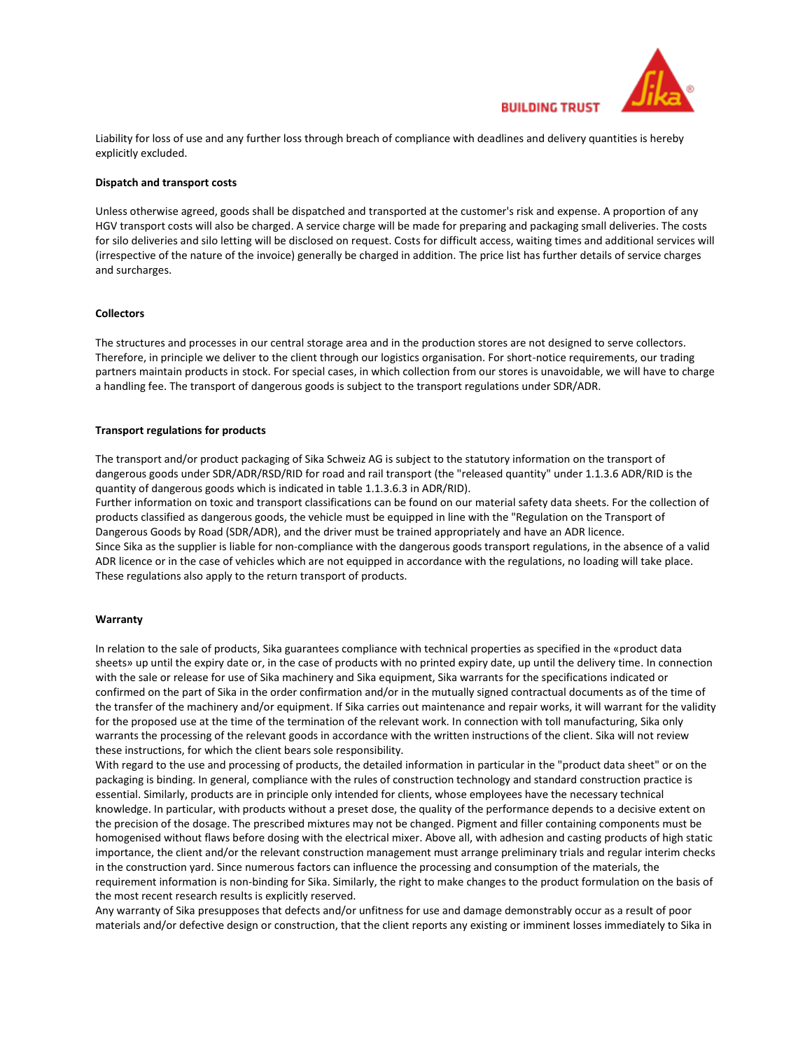

Liability for loss of use and any further loss through breach of compliance with deadlines and delivery quantities is hereby explicitly excluded.

## **Dispatch and transport costs**

Unless otherwise agreed, goods shall be dispatched and transported at the customer's risk and expense. A proportion of any HGV transport costs will also be charged. A service charge will be made for preparing and packaging small deliveries. The costs for silo deliveries and silo letting will be disclosed on request. Costs for difficult access, waiting times and additional services will (irrespective of the nature of the invoice) generally be charged in addition. The price list has further details of service charges and surcharges.

# **Collectors**

The structures and processes in our central storage area and in the production stores are not designed to serve collectors. Therefore, in principle we deliver to the client through our logistics organisation. For short-notice requirements, our trading partners maintain products in stock. For special cases, in which collection from our stores is unavoidable, we will have to charge a handling fee. The transport of dangerous goods is subject to the transport regulations under SDR/ADR.

#### **Transport regulations for products**

The transport and/or product packaging of Sika Schweiz AG is subject to the statutory information on the transport of dangerous goods under SDR/ADR/RSD/RID for road and rail transport (the "released quantity" under 1.1.3.6 ADR/RID is the quantity of dangerous goods which is indicated in table 1.1.3.6.3 in ADR/RID).

Further information on toxic and transport classifications can be found on our material safety data sheets. For the collection of products classified as dangerous goods, the vehicle must be equipped in line with the "Regulation on the Transport of Dangerous Goods by Road (SDR/ADR), and the driver must be trained appropriately and have an ADR licence. Since Sika as the supplier is liable for non-compliance with the dangerous goods transport regulations, in the absence of a valid ADR licence or in the case of vehicles which are not equipped in accordance with the regulations, no loading will take place. These regulations also apply to the return transport of products.

# **Warranty**

In relation to the sale of products, Sika guarantees compliance with technical properties as specified in the «product data sheets» up until the expiry date or, in the case of products with no printed expiry date, up until the delivery time. In connection with the sale or release for use of Sika machinery and Sika equipment, Sika warrants for the specifications indicated or confirmed on the part of Sika in the order confirmation and/or in the mutually signed contractual documents as of the time of the transfer of the machinery and/or equipment. If Sika carries out maintenance and repair works, it will warrant for the validity for the proposed use at the time of the termination of the relevant work. In connection with toll manufacturing, Sika only warrants the processing of the relevant goods in accordance with the written instructions of the client. Sika will not review these instructions, for which the client bears sole responsibility.

With regard to the use and processing of products, the detailed information in particular in the "product data sheet" or on the packaging is binding. In general, compliance with the rules of construction technology and standard construction practice is essential. Similarly, products are in principle only intended for clients, whose employees have the necessary technical knowledge. In particular, with products without a preset dose, the quality of the performance depends to a decisive extent on the precision of the dosage. The prescribed mixtures may not be changed. Pigment and filler containing components must be homogenised without flaws before dosing with the electrical mixer. Above all, with adhesion and casting products of high static importance, the client and/or the relevant construction management must arrange preliminary trials and regular interim checks in the construction yard. Since numerous factors can influence the processing and consumption of the materials, the requirement information is non-binding for Sika. Similarly, the right to make changes to the product formulation on the basis of the most recent research results is explicitly reserved.

Any warranty of Sika presupposes that defects and/or unfitness for use and damage demonstrably occur as a result of poor materials and/or defective design or construction, that the client reports any existing or imminent losses immediately to Sika in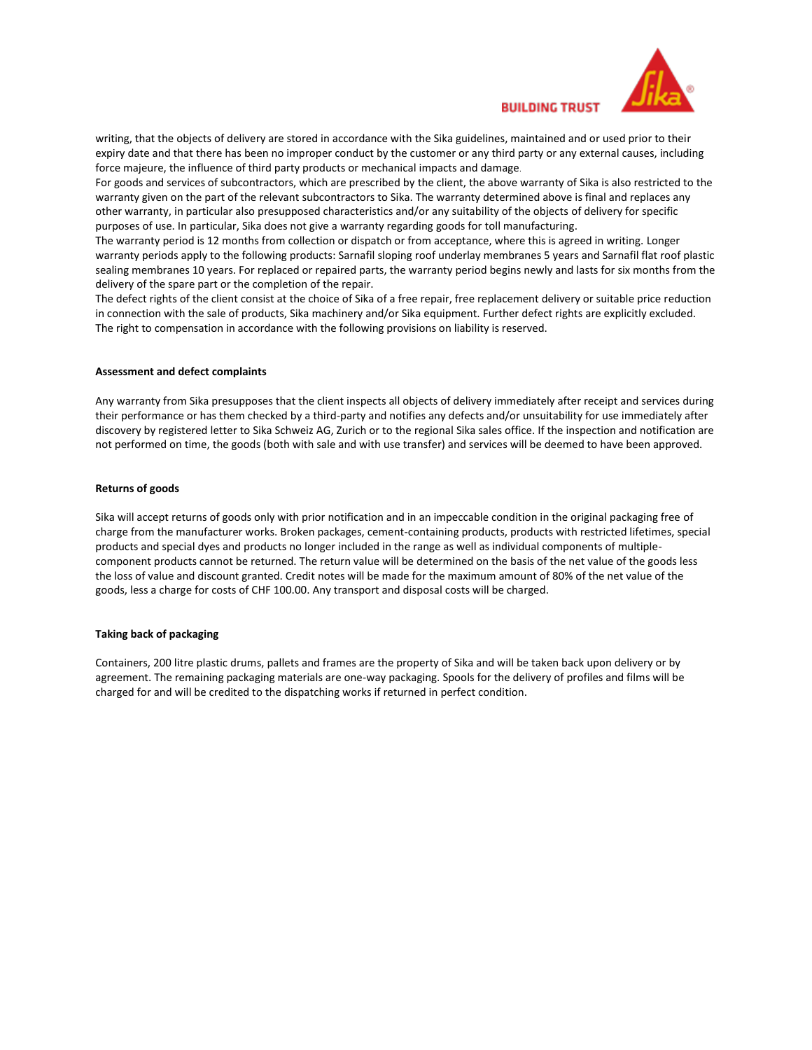

**BUILDING TRUST** 

writing, that the objects of delivery are stored in accordance with the Sika guidelines, maintained and or used prior to their expiry date and that there has been no improper conduct by the customer or any third party or any external causes, including force majeure, the influence of third party products or mechanical impacts and damage.

For goods and services of subcontractors, which are prescribed by the client, the above warranty of Sika is also restricted to the warranty given on the part of the relevant subcontractors to Sika. The warranty determined above is final and replaces any other warranty, in particular also presupposed characteristics and/or any suitability of the objects of delivery for specific purposes of use. In particular, Sika does not give a warranty regarding goods for toll manufacturing.

The warranty period is 12 months from collection or dispatch or from acceptance, where this is agreed in writing. Longer warranty periods apply to the following products: Sarnafil sloping roof underlay membranes 5 years and Sarnafil flat roof plastic sealing membranes 10 years. For replaced or repaired parts, the warranty period begins newly and lasts for six months from the delivery of the spare part or the completion of the repair.

The defect rights of the client consist at the choice of Sika of a free repair, free replacement delivery or suitable price reduction in connection with the sale of products, Sika machinery and/or Sika equipment. Further defect rights are explicitly excluded. The right to compensation in accordance with the following provisions on liability is reserved.

## **Assessment and defect complaints**

Any warranty from Sika presupposes that the client inspects all objects of delivery immediately after receipt and services during their performance or has them checked by a third-party and notifies any defects and/or unsuitability for use immediately after discovery by registered letter to Sika Schweiz AG, Zurich or to the regional Sika sales office. If the inspection and notification are not performed on time, the goods (both with sale and with use transfer) and services will be deemed to have been approved.

#### **Returns of goods**

Sika will accept returns of goods only with prior notification and in an impeccable condition in the original packaging free of charge from the manufacturer works. Broken packages, cement-containing products, products with restricted lifetimes, special products and special dyes and products no longer included in the range as well as individual components of multiplecomponent products cannot be returned. The return value will be determined on the basis of the net value of the goods less the loss of value and discount granted. Credit notes will be made for the maximum amount of 80% of the net value of the goods, less a charge for costs of CHF 100.00. Any transport and disposal costs will be charged.

#### **Taking back of packaging**

Containers, 200 litre plastic drums, pallets and frames are the property of Sika and will be taken back upon delivery or by agreement. The remaining packaging materials are one-way packaging. Spools for the delivery of profiles and films will be charged for and will be credited to the dispatching works if returned in perfect condition.